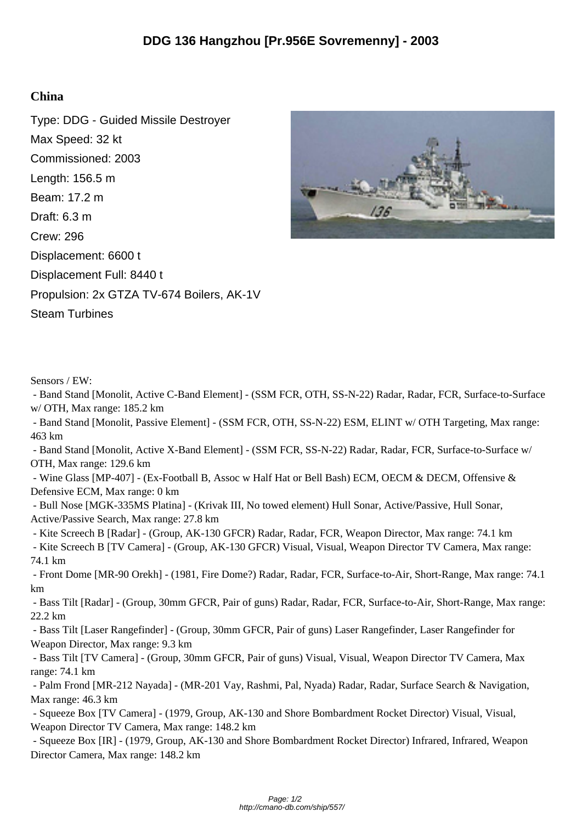## **China**

Type: DDG - Guided Missile Destroyer Max Speed: 32 kt Commissioned: 2003 Length: 156.5 m Beam: 17.2 m Draft: 6.3 m Crew: 296 Displacement: 6600 t Displacement Full: 8440 t Propulsion: 2x GTZA TV-674 Boilers, AK-1V Steam Turbines



Sensors / EW:

 - Band Stand [Monolit, Active C-Band Element] - (SSM FCR, OTH, SS-N-22) Radar, Radar, FCR, Surface-to-Surface w/ OTH, Max range: 185.2 km

 - Band Stand [Monolit, Passive Element] - (SSM FCR, OTH, SS-N-22) ESM, ELINT w/ OTH Targeting, Max range: 463 km

 - Band Stand [Monolit, Active X-Band Element] - (SSM FCR, SS-N-22) Radar, Radar, FCR, Surface-to-Surface w/ OTH, Max range: 129.6 km

 - Wine Glass [MP-407] - (Ex-Football B, Assoc w Half Hat or Bell Bash) ECM, OECM & DECM, Offensive & Defensive ECM, Max range: 0 km

 - Bull Nose [MGK-335MS Platina] - (Krivak III, No towed element) Hull Sonar, Active/Passive, Hull Sonar, Active/Passive Search, Max range: 27.8 km

- Kite Screech B [Radar] - (Group, AK-130 GFCR) Radar, Radar, FCR, Weapon Director, Max range: 74.1 km

 - Kite Screech B [TV Camera] - (Group, AK-130 GFCR) Visual, Visual, Weapon Director TV Camera, Max range: 74.1 km

 - Front Dome [MR-90 Orekh] - (1981, Fire Dome?) Radar, Radar, FCR, Surface-to-Air, Short-Range, Max range: 74.1 km

 - Bass Tilt [Radar] - (Group, 30mm GFCR, Pair of guns) Radar, Radar, FCR, Surface-to-Air, Short-Range, Max range: 22.2 km

 - Bass Tilt [Laser Rangefinder] - (Group, 30mm GFCR, Pair of guns) Laser Rangefinder, Laser Rangefinder for Weapon Director, Max range: 9.3 km

 - Bass Tilt [TV Camera] - (Group, 30mm GFCR, Pair of guns) Visual, Visual, Weapon Director TV Camera, Max range: 74.1 km

 - Palm Frond [MR-212 Nayada] - (MR-201 Vay, Rashmi, Pal, Nyada) Radar, Radar, Surface Search & Navigation, Max range: 46.3 km

 - Squeeze Box [TV Camera] - (1979, Group, AK-130 and Shore Bombardment Rocket Director) Visual, Visual, Weapon Director TV Camera, Max range: 148.2 km

 - Squeeze Box [IR] - (1979, Group, AK-130 and Shore Bombardment Rocket Director) Infrared, Infrared, Weapon Director Camera, Max range: 148.2 km